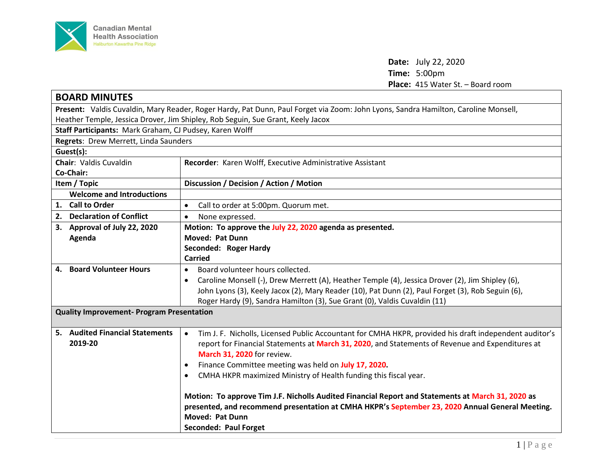

**Date:** July 22, 2020 **Time:** 5:00pm **Place:** 415 Water St. – Board room

| <b>BOARD MINUTES</b>                                                                                                               |                                                                                                                     |  |
|------------------------------------------------------------------------------------------------------------------------------------|---------------------------------------------------------------------------------------------------------------------|--|
| Present: Valdis Cuvaldin, Mary Reader, Roger Hardy, Pat Dunn, Paul Forget via Zoom: John Lyons, Sandra Hamilton, Caroline Monsell, |                                                                                                                     |  |
| Heather Temple, Jessica Drover, Jim Shipley, Rob Seguin, Sue Grant, Keely Jacox                                                    |                                                                                                                     |  |
| Staff Participants: Mark Graham, CJ Pudsey, Karen Wolff                                                                            |                                                                                                                     |  |
| Regrets: Drew Merrett, Linda Saunders                                                                                              |                                                                                                                     |  |
| Guest(s):                                                                                                                          |                                                                                                                     |  |
| <b>Chair: Valdis Cuvaldin</b>                                                                                                      | Recorder: Karen Wolff, Executive Administrative Assistant                                                           |  |
| Co-Chair:                                                                                                                          |                                                                                                                     |  |
| Item / Topic                                                                                                                       | Discussion / Decision / Action / Motion                                                                             |  |
| <b>Welcome and Introductions</b>                                                                                                   |                                                                                                                     |  |
| 1. Call to Order                                                                                                                   | Call to order at 5:00pm. Quorum met.<br>$\bullet$                                                                   |  |
| 2. Declaration of Conflict                                                                                                         | None expressed.<br>$\bullet$                                                                                        |  |
| 3. Approval of July 22, 2020                                                                                                       | Motion: To approve the July 22, 2020 agenda as presented.                                                           |  |
| Agenda                                                                                                                             | <b>Moved: Pat Dunn</b>                                                                                              |  |
|                                                                                                                                    | Seconded: Roger Hardy                                                                                               |  |
|                                                                                                                                    | <b>Carried</b>                                                                                                      |  |
| <b>Board Volunteer Hours</b><br>4.                                                                                                 | Board volunteer hours collected.<br>$\bullet$                                                                       |  |
|                                                                                                                                    | Caroline Monsell (-), Drew Merrett (A), Heather Temple (4), Jessica Drover (2), Jim Shipley (6),<br>$\bullet$       |  |
|                                                                                                                                    | John Lyons (3), Keely Jacox (2), Mary Reader (10), Pat Dunn (2), Paul Forget (3), Rob Seguin (6),                   |  |
|                                                                                                                                    | Roger Hardy (9), Sandra Hamilton (3), Sue Grant (0), Valdis Cuvaldin (11)                                           |  |
| <b>Quality Improvement- Program Presentation</b>                                                                                   |                                                                                                                     |  |
|                                                                                                                                    |                                                                                                                     |  |
| 5. Audited Financial Statements                                                                                                    | Tim J. F. Nicholls, Licensed Public Accountant for CMHA HKPR, provided his draft independent auditor's<br>$\bullet$ |  |
| 2019-20                                                                                                                            | report for Financial Statements at March 31, 2020, and Statements of Revenue and Expenditures at                    |  |
|                                                                                                                                    | March 31, 2020 for review.                                                                                          |  |
|                                                                                                                                    | Finance Committee meeting was held on July 17, 2020.<br>$\bullet$                                                   |  |
|                                                                                                                                    | CMHA HKPR maximized Ministry of Health funding this fiscal year.<br>$\bullet$                                       |  |
|                                                                                                                                    |                                                                                                                     |  |
|                                                                                                                                    | Motion: To approve Tim J.F. Nicholls Audited Financial Report and Statements at March 31, 2020 as                   |  |
|                                                                                                                                    | presented, and recommend presentation at CMHA HKPR's September 23, 2020 Annual General Meeting.                     |  |
|                                                                                                                                    | <b>Moved: Pat Dunn</b>                                                                                              |  |
|                                                                                                                                    | <b>Seconded: Paul Forget</b>                                                                                        |  |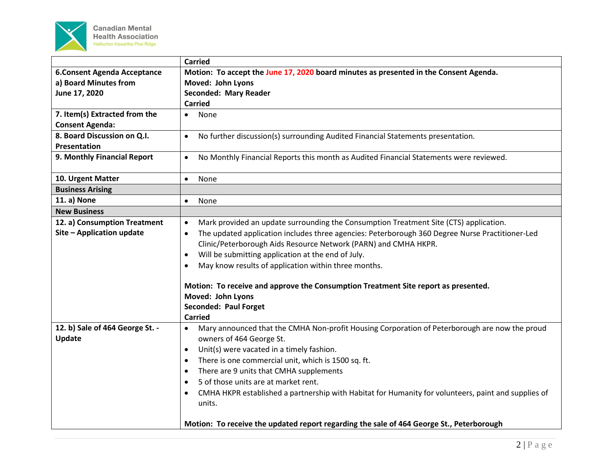

|                                                           | <b>Carried</b>                                                                                                                                                                                                                                                                                                                                                                                                                                                                                                                                                                                 |
|-----------------------------------------------------------|------------------------------------------------------------------------------------------------------------------------------------------------------------------------------------------------------------------------------------------------------------------------------------------------------------------------------------------------------------------------------------------------------------------------------------------------------------------------------------------------------------------------------------------------------------------------------------------------|
| <b>6.Consent Agenda Acceptance</b>                        | Motion: To accept the June 17, 2020 board minutes as presented in the Consent Agenda.                                                                                                                                                                                                                                                                                                                                                                                                                                                                                                          |
| a) Board Minutes from                                     | Moved: John Lyons                                                                                                                                                                                                                                                                                                                                                                                                                                                                                                                                                                              |
| June 17, 2020                                             | <b>Seconded: Mary Reader</b>                                                                                                                                                                                                                                                                                                                                                                                                                                                                                                                                                                   |
|                                                           | <b>Carried</b>                                                                                                                                                                                                                                                                                                                                                                                                                                                                                                                                                                                 |
| 7. Item(s) Extracted from the                             | None<br>$\bullet$                                                                                                                                                                                                                                                                                                                                                                                                                                                                                                                                                                              |
| <b>Consent Agenda:</b>                                    |                                                                                                                                                                                                                                                                                                                                                                                                                                                                                                                                                                                                |
| 8. Board Discussion on Q.I.<br>Presentation               | No further discussion(s) surrounding Audited Financial Statements presentation.<br>$\bullet$                                                                                                                                                                                                                                                                                                                                                                                                                                                                                                   |
| 9. Monthly Financial Report                               | No Monthly Financial Reports this month as Audited Financial Statements were reviewed.<br>$\bullet$                                                                                                                                                                                                                                                                                                                                                                                                                                                                                            |
| 10. Urgent Matter                                         | $\bullet$<br>None                                                                                                                                                                                                                                                                                                                                                                                                                                                                                                                                                                              |
| <b>Business Arising</b>                                   |                                                                                                                                                                                                                                                                                                                                                                                                                                                                                                                                                                                                |
| 11. a) None                                               | None<br>$\bullet$                                                                                                                                                                                                                                                                                                                                                                                                                                                                                                                                                                              |
| <b>New Business</b>                                       |                                                                                                                                                                                                                                                                                                                                                                                                                                                                                                                                                                                                |
| 12. a) Consumption Treatment<br>Site - Application update | Mark provided an update surrounding the Consumption Treatment Site (CTS) application.<br>$\bullet$<br>The updated application includes three agencies: Peterborough 360 Degree Nurse Practitioner-Led<br>Clinic/Peterborough Aids Resource Network (PARN) and CMHA HKPR.<br>Will be submitting application at the end of July.<br>$\bullet$<br>May know results of application within three months.<br>$\bullet$<br>Motion: To receive and approve the Consumption Treatment Site report as presented.<br>Moved: John Lyons<br>Seconded: Paul Forget<br><b>Carried</b>                         |
| 12. b) Sale of 464 George St. -<br>Update                 | Mary announced that the CMHA Non-profit Housing Corporation of Peterborough are now the proud<br>owners of 464 George St.<br>Unit(s) were vacated in a timely fashion.<br>$\bullet$<br>There is one commercial unit, which is 1500 sq. ft.<br>$\bullet$<br>There are 9 units that CMHA supplements<br>$\bullet$<br>5 of those units are at market rent.<br>$\bullet$<br>CMHA HKPR established a partnership with Habitat for Humanity for volunteers, paint and supplies of<br>$\bullet$<br>units.<br>Motion: To receive the updated report regarding the sale of 464 George St., Peterborough |